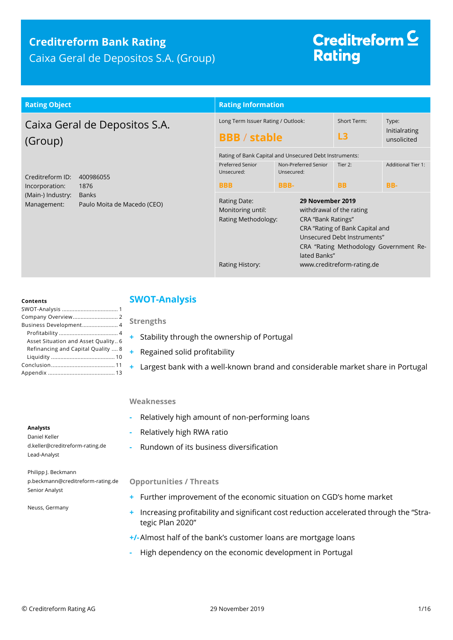### **Creditreform Bank Rating** Caixa Geral de Depositos S.A. (Group)

# Creditreform<sup>C</sup> **Rating**

| <b>Rating Object</b>                                                                                                                       | <b>Rating Information</b>                                                                                                             |                                                                                                                                     |                                                                                                                                                                    |                                       |
|--------------------------------------------------------------------------------------------------------------------------------------------|---------------------------------------------------------------------------------------------------------------------------------------|-------------------------------------------------------------------------------------------------------------------------------------|--------------------------------------------------------------------------------------------------------------------------------------------------------------------|---------------------------------------|
| Caixa Geral de Depositos S.A.<br>(Group)                                                                                                   | Long Term Issuer Rating / Outlook:<br><b>BBB</b> / stable                                                                             |                                                                                                                                     | Short Term:<br>L3                                                                                                                                                  | Type:<br>Initialrating<br>unsolicited |
| Creditreform ID:<br>400986055<br>Incorporation:<br>1876<br>(Main-) Industry:<br><b>Banks</b><br>Paulo Moita de Macedo (CEO)<br>Management: | Preferred Senior<br>Unsecured:<br><b>BBB</b>                                                                                          | Rating of Bank Capital and Unsecured Debt Instruments:<br>Non-Preferred Senior<br>Tier 2:<br>Unsecured:<br><b>BBB-</b><br><b>BB</b> |                                                                                                                                                                    |                                       |
|                                                                                                                                            | Rating Date:<br>29 November 2019<br>Monitoring until:<br>Rating Methodology:<br>CRA "Bank Ratings"<br>lated Banks"<br>Rating History: |                                                                                                                                     | withdrawal of the rating<br>CRA "Rating of Bank Capital and<br>Unsecured Debt Instruments"<br>CRA "Rating Methodology Government Re-<br>www.creditreform-rating.de |                                       |
|                                                                                                                                            |                                                                                                                                       |                                                                                                                                     |                                                                                                                                                                    |                                       |

#### **Contents**

| Business Development 4              |
|-------------------------------------|
|                                     |
| Asset Situation and Asset Quality 6 |
| Refinancing and Capital Quality  8  |
|                                     |
|                                     |
|                                     |
|                                     |

#### <span id="page-0-0"></span>**SWOT-Analysis**

#### **Strengths**

- **+** Stability through the ownership of Portugal
- **+** Regained solid profitability
- **+** Largest bank with a well-known brand and considerable market share in Portugal

#### **Weaknesses**

- **-** Relatively high amount of non-performing loans
- **-** Relatively high RWA ratio
- **-** Rundown of its business diversification

#### **Opportunities / Threats**

- **+** Further improvement of the economic situation on CGD's home market
- **+** Increasing profitability and significant cost reduction accelerated through the "Strategic Plan 2020"
- **+/-**Almost half of the bank's customer loans are mortgage loans
- **-** High dependency on the economic development in Portugal

#### **Analysts**

Daniel Keller d.keller@creditreform-rating.de Lead-Analyst

Philipp J. Beckmann p.beckmann@creditreform-rating.de Senior Analyst

Neuss, Germany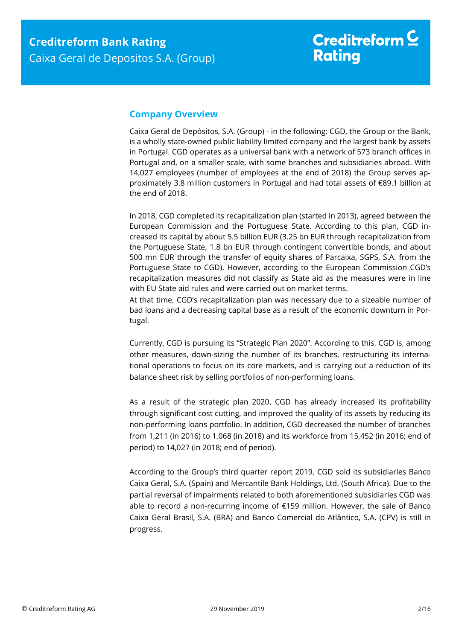#### <span id="page-1-0"></span>**Company Overview**

Caixa Geral de Depósitos, S.A. (Group) - in the following: CGD, the Group or the Bank, is a wholly state-owned public liability limited company and the largest bank by assets in Portugal. CGD operates as a universal bank with a network of 573 branch offices in Portugal and, on a smaller scale, with some branches and subsidiaries abroad. With 14,027 employees (number of employees at the end of 2018) the Group serves approximately 3.8 million customers in Portugal and had total assets of €89.1 billion at the end of 2018.

In 2018, CGD completed its recapitalization plan (started in 2013), agreed between the European Commission and the Portuguese State. According to this plan, CGD increased its capital by about 5.5 billion EUR (3.25 bn EUR through recapitalization from the Portuguese State, 1.8 bn EUR through contingent convertible bonds, and about 500 mn EUR through the transfer of equity shares of Parcaixa, SGPS, S.A. from the Portuguese State to CGD). However, according to the European Commission CGD's recapitalization measures did not classify as State aid as the measures were in line with EU State aid rules and were carried out on market terms.

At that time, CGD's recapitalization plan was necessary due to a sizeable number of bad loans and a decreasing capital base as a result of the economic downturn in Portugal.

Currently, CGD is pursuing its "Strategic Plan 2020". According to this, CGD is, among other measures, down-sizing the number of its branches, restructuring its international operations to focus on its core markets, and is carrying out a reduction of its balance sheet risk by selling portfolios of non-performing loans.

As a result of the strategic plan 2020, CGD has already increased its profitability through significant cost cutting, and improved the quality of its assets by reducing its non-performing loans portfolio. In addition, CGD decreased the number of branches from 1,211 (in 2016) to 1,068 (in 2018) and its workforce from 15,452 (in 2016; end of period) to 14,027 (in 2018; end of period).

According to the Group's third quarter report 2019, CGD sold its subsidiaries Banco Caixa Geral, S.A. (Spain) and Mercantile Bank Holdings, Ltd. (South Africa). Due to the partial reversal of impairments related to both aforementioned subsidiaries CGD was able to record a non-recurring income of €159 million. However, the sale of Banco Caixa Geral Brasil, S.A. (BRA) and Banco Comercial do Atlântico, S.A. (CPV) is still in progress.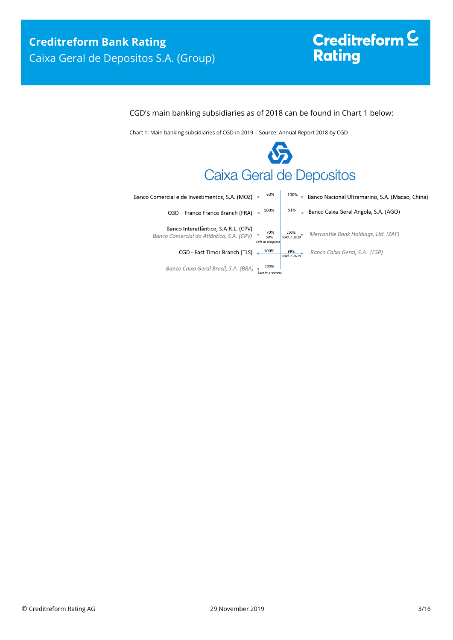# Creditreform <sup>C</sup><br>Rating

#### CGD's main banking subsidiaries as of 2018 can be found in Chart 1 below:

Chart 1: Main banking subsidiaries of CGD in 2019 | Source: Annual Report 2018 by CGD

# **SS** Caixa Geral de Depositos

| Banco Comercial e de Investimentos, S.A. (MOZ)                                   | 63%                             | 100%                  | Banco Nacional Ultramarino, S.A. (Macao, China) |
|----------------------------------------------------------------------------------|---------------------------------|-----------------------|-------------------------------------------------|
| CGD - France France Branch (FRA)                                                 | 100%                            | $51\%$                | Banco Caixa Geral Angola, S.A. (AGO)            |
| Banco Interatlântico, S.A.R.L. (CPV)<br>Banco Comercial do Atlântico, S.A. (CPV) | 70%<br>58%.<br>Sale in progress | 100%,<br>Sold in 2019 | Mercantile Bank Holdings, Ltd. (ZAF)            |
| CGD - East Timor Branch (TLS)                                                    | 100%                            | Sold in 2019          | Banco Caixa Geral, S.A. (ESP)                   |
| Banco Caixa Geral Brasil, S.A. (BRA)                                             | 100%<br>Sale in progress        |                       |                                                 |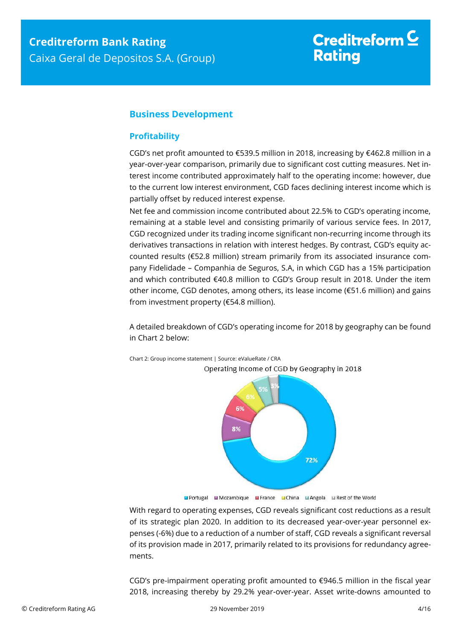# Creditreform  $\subseteq$ **Rating**

#### <span id="page-3-0"></span>**Business Development**

#### <span id="page-3-1"></span>**Profitability**

CGD's net profit amounted to €539.5 million in 2018, increasing by €462.8 million in a year-over-year comparison, primarily due to significant cost cutting measures. Net interest income contributed approximately half to the operating income: however, due to the current low interest environment, CGD faces declining interest income which is partially offset by reduced interest expense.

Net fee and commission income contributed about 22.5% to CGD's operating income, remaining at a stable level and consisting primarily of various service fees. In 2017, CGD recognized under its trading income significant non-recurring income through its derivatives transactions in relation with interest hedges. By contrast, CGD's equity accounted results (€52.8 million) stream primarily from its associated insurance company Fidelidade – Companhia de Seguros, S.A, in which CGD has a 15% participation and which contributed €40.8 million to CGD's Group result in 2018. Under the item other income, CGD denotes, among others, its lease income (€51.6 million) and gains from investment property (€54.8 million).

A detailed breakdown of CGD's operating income for 2018 by geography can be found in Chart 2 below:



Chart 2: Group income statement | Source: eValueRate / CRA

■ Portugal ■ Mozambique ■ France ■ China ■ Angola ■ Rest of the World

With regard to operating expenses, CGD reveals significant cost reductions as a result of its strategic plan 2020. In addition to its decreased year-over-year personnel expenses (-6%) due to a reduction of a number of staff, CGD reveals a significant reversal of its provision made in 2017, primarily related to its provisions for redundancy agreements.

CGD's pre-impairment operating profit amounted to  $\epsilon$ 946.5 million in the fiscal year 2018, increasing thereby by 29.2% year-over-year. Asset write-downs amounted to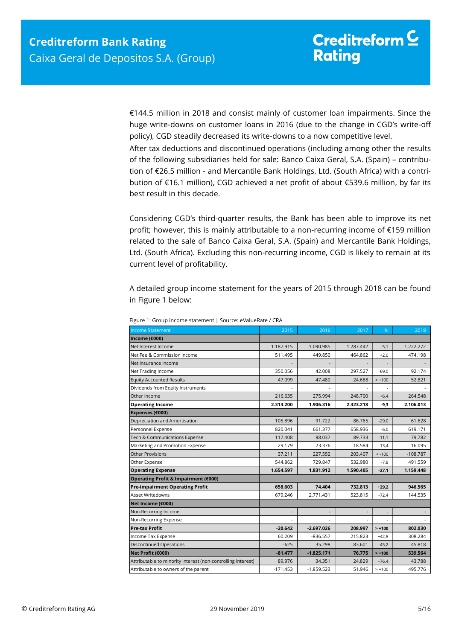€144.5 million in 2018 and consist mainly of customer loan impairments. Since the huge write-downs on customer loans in 2016 (due to the change in CGD's write-off policy), CGD steadily decreased its write-downs to a now competitive level.

After tax deductions and discontinued operations (including among other the results of the following subsidiaries held for sale: Banco Caixa Geral, S.A. (Spain) – contribution of €26.5 million - and Mercantile Bank Holdings, Ltd. (South Africa) with a contribution of €16.1 million), CGD achieved a net profit of about €539.6 million, by far its best result in this decade.

Considering CGD's third-quarter results, the Bank has been able to improve its net profit; however, this is mainly attributable to a non-recurring income of €159 million related to the sale of Banco Caixa Geral, S.A. (Spain) and Mercantile Bank Holdings, Ltd. (South Africa). Excluding this non-recurring income, CGD is likely to remain at its current level of profitability.

A detailed group income statement for the years of 2015 through 2018 can be found in Figure 1 below:

| <b>Income Statement</b>                                      | 2015                     | 2016                     | 2017                     | %                        | 2018       |
|--------------------------------------------------------------|--------------------------|--------------------------|--------------------------|--------------------------|------------|
| Income (€000)                                                |                          |                          |                          |                          |            |
| Net Interest Income                                          | 1.187.915                | 1.090.985                | 1.287.442                | $-5,1$                   | 1.222.272  |
| Net Fee & Commission Income                                  | 511.495                  | 449.850                  | 464.862                  | $+2,0$                   | 474.198    |
| Net Insurance Income                                         |                          |                          |                          |                          |            |
| Net Trading Income                                           | 350.056                  | 42.008                   | 297.527                  | $-69.0$                  | 92.174     |
| <b>Equity Accounted Results</b>                              | 47.099                   | 47.480                   | 24.688                   | $> +100$                 | 52.821     |
| Dividends from Equity Instruments                            |                          |                          |                          |                          |            |
| Other Income                                                 | 216.635                  | 275.994                  | 248,700                  | $+6,4$                   | 264.548    |
| <b>Operating Income</b>                                      | 2.313.200                | 1.906.316                | 2.323.218                | $-9,3$                   | 2.106.013  |
| Expenses (€000)                                              |                          |                          |                          |                          |            |
| Depreciation and Amortisation                                | 105.896                  | 91.722                   | 86.765                   | $-29,0$                  | 61.628     |
| Personnel Expense                                            | 820.041                  | 661.377                  | 658.936                  | $-6,0$                   | 619.171    |
| Tech & Communications Expense                                | 117.408                  | 98.037                   | 89.733                   | $-11,1$                  | 79.782     |
| Marketing and Promotion Expense                              | 29.179                   | 23.376                   | 18.584                   | $-13,4$                  | 16.095     |
| <b>Other Provisions</b>                                      | 37.211                   | 227.552                  | 203.407                  | $< -100$                 | $-108.787$ |
| Other Expense                                                | 544.862                  | 729.847                  | 532.980                  | $-7,8$                   | 491.559    |
| <b>Operating Expense</b>                                     | 1.654.597                | 1.831.912                | 1.590.405                | $-27,1$                  | 1.159.448  |
| Operating Profit & Impairment (€000)                         |                          |                          |                          |                          |            |
| Pre-impairment Operating Profit                              | 658.603                  | 74.404                   | 732.813                  | $+29,2$                  | 946.565    |
| <b>Asset Writedowns</b>                                      | 679.246                  | 2.771.431                | 523.815                  | $-72,4$                  | 144.535    |
| Net Income (€000)                                            |                          |                          |                          |                          |            |
| Non-Recurring Income                                         | $\overline{\phantom{a}}$ | $\overline{\phantom{a}}$ | $\overline{\phantom{a}}$ | $\overline{\phantom{a}}$ |            |
| Non-Recurring Expense                                        |                          |                          |                          |                          |            |
| <b>Pre-tax Profit</b>                                        | $-20.642$                | $-2.697.026$             | 208.997                  | $> +100$                 | 802.030    |
| Income Tax Expense                                           | 60.209                   | $-836.557$               | 215.823                  | $+42,8$                  | 308.284    |
| <b>Discontinued Operations</b>                               | $-625$                   | 35.298                   | 83.601                   | $-45,2$                  | 45.818     |
| Net Profit (€000)                                            | $-81.477$                | $-1.825.171$             | 76.775                   | $> +100$                 | 539.564    |
| Attributable to minority interest (non-controlling interest) | 89.976                   | 34.351                   | 24.829                   | $+76,4$                  | 43.788     |
| Attributable to owners of the parent                         | $-171.453$               | $-1.859.523$             | 51.946                   | $> +100$                 | 495.776    |

Figure 1: Group income statement | Source: eValueRate / CRA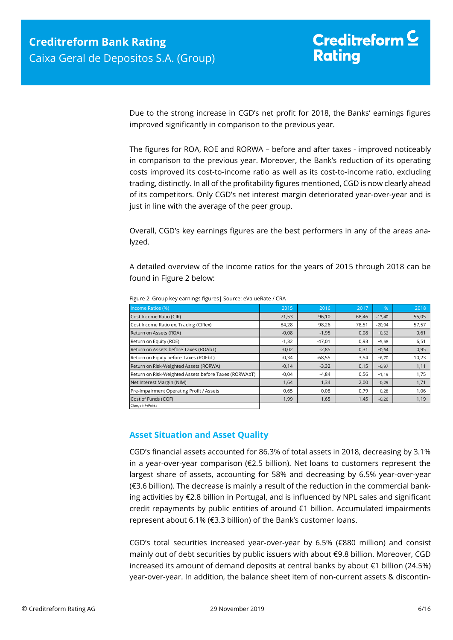Due to the strong increase in CGD's net profit for 2018, the Banks' earnings figures improved significantly in comparison to the previous year.

The figures for ROA, ROE and RORWA – before and after taxes - improved noticeably in comparison to the previous year. Moreover, the Bank's reduction of its operating costs improved its cost-to-income ratio as well as its cost-to-income ratio, excluding trading, distinctly. In all of the profitability figures mentioned, CGD is now clearly ahead of its competitors. Only CGD's net interest margin deteriorated year-over-year and is just in line with the average of the peer group.

Overall, CGD's key earnings figures are the best performers in any of the areas analyzed.

A detailed overview of the income ratios for the years of 2015 through 2018 can be found in Figure 2 below:

| Income Ratios (%)                                     | 2015    | 2016     | 2017  | $\%$     | 2018  |
|-------------------------------------------------------|---------|----------|-------|----------|-------|
| Cost Income Ratio (CIR)                               | 71,53   | 96,10    | 68,46 | $-13,40$ | 55,05 |
| Cost Income Ratio ex. Trading (CIRex)                 | 84,28   | 98,26    | 78,51 | $-20,94$ | 57,57 |
| Return on Assets (ROA)                                | $-0,08$ | $-1,95$  | 0,08  | $+0,52$  | 0,61  |
| Return on Equity (ROE)                                | $-1,32$ | $-47,01$ | 0,93  | $+5,58$  | 6,51  |
| Return on Assets before Taxes (ROAbT)                 | $-0,02$ | $-2,85$  | 0,31  | $+0,64$  | 0,95  |
| Return on Equity before Taxes (ROEbT)                 | $-0,34$ | $-68,55$ | 3,54  | $+6,70$  | 10,23 |
| Return on Risk-Weighted Assets (RORWA)                | $-0,14$ | $-3,32$  | 0,15  | $+0,97$  | 1,11  |
| Return on Risk-Weighted Assets before Taxes (RORWAbT) | $-0.04$ | $-4,84$  | 0,56  | $+1,19$  | 1,75  |
| Net Interest Margin (NIM)                             | 1,64    | 1,34     | 2,00  | $-0,29$  | 1,71  |
| Pre-Impairment Operating Profit / Assets              | 0,65    | 0,08     | 0,79  | $+0,28$  | 1,06  |
| Cost of Funds (COF)                                   | 1,99    | 1,65     | 1,45  | $-0,26$  | 1,19  |
| Change in % Points                                    |         |          |       |          |       |

Figure 2: Group key earnings figures| Source: eValueRate / CRA

#### <span id="page-5-0"></span>**Asset Situation and Asset Quality**

CGD's financial assets accounted for 86.3% of total assets in 2018, decreasing by 3.1% in a year-over-year comparison (€2.5 billion). Net loans to customers represent the largest share of assets, accounting for 58% and decreasing by 6.5% year-over-year (€3.6 billion). The decrease is mainly a result of the reduction in the commercial banking activities by €2.8 billion in Portugal, and is influenced by NPL sales and significant credit repayments by public entities of around €1 billion. Accumulated impairments represent about 6.1% (€3.3 billion) of the Bank's customer loans.

CGD's total securities increased year-over-year by 6.5% (€880 million) and consist mainly out of debt securities by public issuers with about €9.8 billion. Moreover, CGD increased its amount of demand deposits at central banks by about €1 billion (24.5%) year-over-year. In addition, the balance sheet item of non-current assets & discontin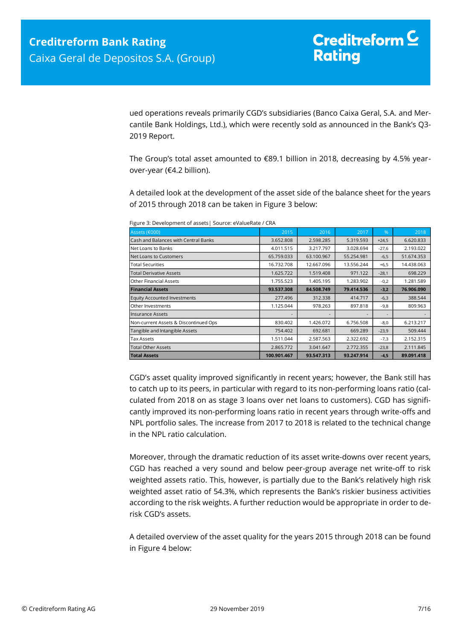ued operations reveals primarily CGD's subsidiaries (Banco Caixa Geral, S.A. and Mercantile Bank Holdings, Ltd.), which were recently sold as announced in the Bank's Q3- 2019 Report.

The Group's total asset amounted to €89.1 billion in 2018, decreasing by 4.5% yearover-year (€4.2 billion).

A detailed look at the development of the asset side of the balance sheet for the years of 2015 through 2018 can be taken in Figure 3 below:

| Assets (€000)                         | 2015        | 2016       | 2017       | $\frac{9}{6}$            | 2018       |
|---------------------------------------|-------------|------------|------------|--------------------------|------------|
| Cash and Balances with Central Banks  | 3.652.808   | 2.598.285  | 5.319.593  | $+24,5$                  | 6.620.833  |
| Net Loans to Banks                    | 4.011.515   | 3.217.797  | 3.028.694  | $-27,6$                  | 2.193.022  |
| Net Loans to Customers                | 65.759.033  | 63.100.967 | 55.254.981 | $-6,5$                   | 51.674.353 |
| Total Securities                      | 16.732.708  | 12.667.096 | 13.556.244 | $+6,5$                   | 14.438.063 |
| <b>Total Derivative Assets</b>        | 1.625.722   | 1.519.408  | 971.122    | $-28,1$                  | 698.229    |
| <b>Other Financial Assets</b>         | 1.755.523   | 1.405.195  | 1.283.902  | $-0,2$                   | 1.281.589  |
| <b>Financial Assets</b>               | 93.537.308  | 84.508.749 | 79.414.536 | $-3,2$                   | 76.906.090 |
| <b>Equity Accounted Investments</b>   | 277.496     | 312.338    | 414,717    | $-6,3$                   | 388.544    |
| Other Investments                     | 1.125.044   | 978.263    | 897.818    | $-9,8$                   | 809.963    |
| <b>Insurance Assets</b>               |             |            |            | $\overline{\phantom{a}}$ |            |
| Non-current Assets & Discontinued Ops | 830,402     | 1.426.072  | 6.756.508  | $-8,0$                   | 6.213.217  |
| Tangible and Intangible Assets        | 754,402     | 692.681    | 669.289    | $-23,9$                  | 509.444    |
| Tax Assets                            | 1.511.044   | 2.587.563  | 2.322.692  | $-7,3$                   | 2.152.315  |
| <b>Total Other Assets</b>             | 2.865.772   | 3.041.647  | 2.772.355  | $-23,8$                  | 2.111.845  |
| <b>Total Assets</b>                   | 100.901.467 | 93.547.313 | 93.247.914 | $-4,5$                   | 89.091.418 |

Figure 3: Development of assets| Source: eValueRate / CRA

CGD's asset quality improved significantly in recent years; however, the Bank still has to catch up to its peers, in particular with regard to its non-performing loans ratio (calculated from 2018 on as stage 3 loans over net loans to customers). CGD has significantly improved its non-performing loans ratio in recent years through write-offs and NPL portfolio sales. The increase from 2017 to 2018 is related to the technical change in the NPL ratio calculation.

Moreover, through the dramatic reduction of its asset write-downs over recent years, CGD has reached a very sound and below peer-group average net write-off to risk weighted assets ratio. This, however, is partially due to the Bank's relatively high risk weighted asset ratio of 54.3%, which represents the Bank's riskier business activities according to the risk weights. A further reduction would be appropriate in order to derisk CGD's assets.

A detailed overview of the asset quality for the years 2015 through 2018 can be found in Figure 4 below: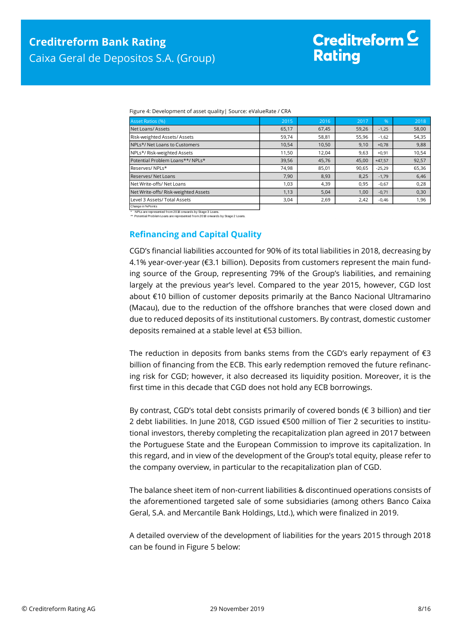| Figure 4: Development of asset quality   Source: eValueRate / CRA |  |  |
|-------------------------------------------------------------------|--|--|
|                                                                   |  |  |

| Asset Ratios (%)                     | 2015  | 2016  | 2017  | %        | 2018  |
|--------------------------------------|-------|-------|-------|----------|-------|
| Net Loans/Assets                     | 65,17 | 67,45 | 59,26 | $-1,25$  | 58,00 |
| Risk-weighted Assets/ Assets         | 59,74 | 58,81 | 55,96 | $-1,62$  | 54,35 |
| NPLs*/ Net Loans to Customers        | 10,54 | 10,50 | 9,10  | $+0,78$  | 9,88  |
| NPLs*/ Risk-weighted Assets          | 11,50 | 12,04 | 9,63  | $+0,91$  | 10,54 |
| Potential Problem Loans**/ NPLs*     | 39,56 | 45,76 | 45,00 | $+47.57$ | 92,57 |
| Reserves/NPLs*                       | 74,98 | 85,01 | 90,65 | $-25,29$ | 65,36 |
| <b>Reserves/ Net Loans</b>           | 7,90  | 8,93  | 8,25  | $-1,79$  | 6,46  |
| Net Write-offs/ Net Loans            | 1,03  | 4,39  | 0,95  | $-0,67$  | 0,28  |
| Net Write-offs/ Risk-weighted Assets | 1,13  | 5,04  | 1,00  | $-0,71$  | 0,30  |
| Level 3 Assets/ Total Assets         | 3,04  | 2,69  | 2,42  | $-0,46$  | 1,96  |
| Change in % Points                   |       |       |       |          |       |

NPLs are represented from 2018 onwards by Stage 3 Loans.

<span id="page-7-0"></span>\*\* Potential Problem Loans are represented from 2018 onwards by Stage 2 Loans.

#### **Refinancing and Capital Quality**

CGD's financial liabilities accounted for 90% of its total liabilities in 2018, decreasing by 4.1% year-over-year (€3.1 billion). Deposits from customers represent the main funding source of the Group, representing 79% of the Group's liabilities, and remaining largely at the previous year's level. Compared to the year 2015, however, CGD lost about €10 billion of customer deposits primarily at the Banco Nacional Ultramarino (Macau), due to the reduction of the offshore branches that were closed down and due to reduced deposits of its institutional customers. By contrast, domestic customer deposits remained at a stable level at €53 billion.

The reduction in deposits from banks stems from the CGD's early repayment of  $\epsilon$ 3 billion of financing from the ECB. This early redemption removed the future refinancing risk for CGD; however, it also decreased its liquidity position. Moreover, it is the first time in this decade that CGD does not hold any ECB borrowings.

By contrast, CGD's total debt consists primarily of covered bonds (€ 3 billion) and tier 2 debt liabilities. In June 2018, CGD issued €500 million of Tier 2 securities to institutional investors, thereby completing the recapitalization plan agreed in 2017 between the Portuguese State and the European Commission to improve its capitalization. In this regard, and in view of the development of the Group's total equity, please refer to the company overview, in particular to the recapitalization plan of CGD.

The balance sheet item of non-current liabilities & discontinued operations consists of the aforementioned targeted sale of some subsidiaries (among others Banco Caixa Geral, S.A. and Mercantile Bank Holdings, Ltd.), which were finalized in 2019.

A detailed overview of the development of liabilities for the years 2015 through 2018 can be found in Figure 5 below: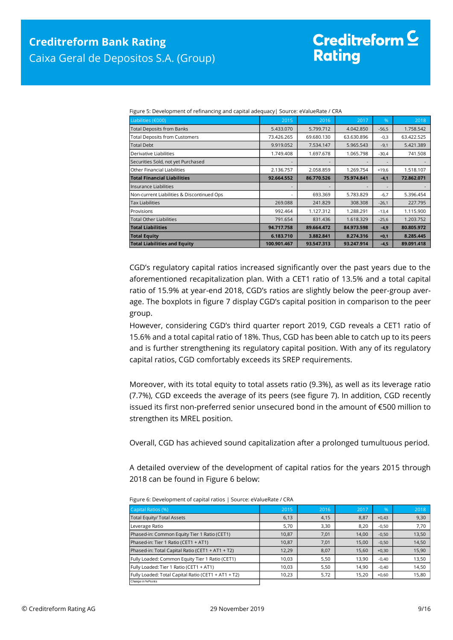| Liabilities (€000)                         | 2015        | 2016       | 2017       | $\frac{9}{6}$ | 2018       |
|--------------------------------------------|-------------|------------|------------|---------------|------------|
| <b>Total Deposits from Banks</b>           | 5.433.070   | 5.799.712  | 4.042.850  | $-56,5$       | 1.758.542  |
| <b>Total Deposits from Customers</b>       | 73.426.265  | 69.680.130 | 63.630.896 | $-0,3$        | 63.422.525 |
| <b>Total Debt</b>                          | 9.919.052   | 7.534.147  | 5.965.543  | $-9,1$        | 5.421.389  |
| Derivative Liabilities                     | 1.749.408   | 1.697.678  | 1.065.798  | $-30,4$       | 741.508    |
| Securities Sold, not yet Purchased         |             |            |            |               |            |
| Other Financial Liabilities                | 2.136.757   | 2.058.859  | 1.269.754  | $+19,6$       | 1.518.107  |
| <b>Total Financial Liabilities</b>         | 92.664.552  | 86.770.526 | 75.974.841 | $-4,1$        | 72.862.071 |
| llnsurance Liabilities                     | ۰           |            |            |               |            |
| Non-current Liabilities & Discontinued Ops | ۰           | 693.369    | 5.783.829  | $-6,7$        | 5.396.454  |
| <b>Tax Liabilities</b>                     | 269.088     | 241.829    | 308,308    | $-26,1$       | 227.795    |
| Provisions                                 | 992.464     | 1.127.312  | 1.288.291  | $-13,4$       | 1.115.900  |
| <b>Total Other Liabilities</b>             | 791.654     | 831.436    | 1.618.329  | $-25,6$       | 1.203.752  |
| <b>Total Liabilities</b>                   | 94.717.758  | 89.664.472 | 84.973.598 | $-4,9$        | 80.805.972 |
| <b>Total Equity</b>                        | 6.183.710   | 3.882.841  | 8.274.316  | $+0,1$        | 8.285.445  |
| <b>Total Liabilities and Equity</b>        | 100.901.467 | 93.547.313 | 93.247.914 | $-4,5$        | 89.091.418 |

Figure 5: Development of refinancing and capital adequacy| Source: eValueRate / CRA

CGD's regulatory capital ratios increased significantly over the past years due to the aforementioned recapitalization plan. With a CET1 ratio of 13.5% and a total capital ratio of 15.9% at year-end 2018, CGD's ratios are slightly below the peer-group average. The boxplots in figure 7 display CGD's capital position in comparison to the peer group.

However, considering CGD's third quarter report 2019, CGD reveals a CET1 ratio of 15.6% and a total capital ratio of 18%. Thus, CGD has been able to catch up to its peers and is further strengthening its regulatory capital position. With any of its regulatory capital ratios, CGD comfortably exceeds its SREP requirements.

Moreover, with its total equity to total assets ratio (9.3%), as well as its leverage ratio (7.7%), CGD exceeds the average of its peers (see figure 7). In addition, CGD recently issued its first non-preferred senior unsecured bond in the amount of €500 million to strengthen its MREL position.

Overall, CGD has achieved sound capitalization after a prolonged tumultuous period.

A detailed overview of the development of capital ratios for the years 2015 through 2018 can be found in Figure 6 below:

| Capital Ratios (%)                                  | 2015  | 2016 | 2017  | %       | 2018  |
|-----------------------------------------------------|-------|------|-------|---------|-------|
| Total Equity/ Total Assets                          | 6,13  | 4,15 | 8,87  | $+0,43$ | 9,30  |
| Leverage Ratio                                      | 5,70  | 3,30 | 8,20  | $-0,50$ | 7,70  |
| Phased-in: Common Equity Tier 1 Ratio (CET1)        | 10.87 | 7,01 | 14,00 | $-0,50$ | 13,50 |
| Phased-in: Tier 1 Ratio (CET1 + AT1)                | 10.87 | 7,01 | 15,00 | $-0,50$ | 14,50 |
| Phased-in: Total Capital Ratio (CET1 + AT1 + T2)    | 12.29 | 8,07 | 15.60 | $+0.30$ | 15,90 |
| Fully Loaded: Common Equity Tier 1 Ratio (CET1)     | 10.03 | 5,50 | 13.90 | $-0.40$ | 13,50 |
| Fully Loaded: Tier 1 Ratio (CET1 + AT1)             | 10.03 | 5,50 | 14,90 | $-0.40$ | 14,50 |
| Fully Loaded: Total Capital Ratio (CET1 + AT1 + T2) | 10,23 | 5,72 | 15,20 | $+0,60$ | 15,80 |
| Change in % Points                                  |       |      |       |         |       |

Figure 6: Development of capital ratios | Source: eValueRate / CRA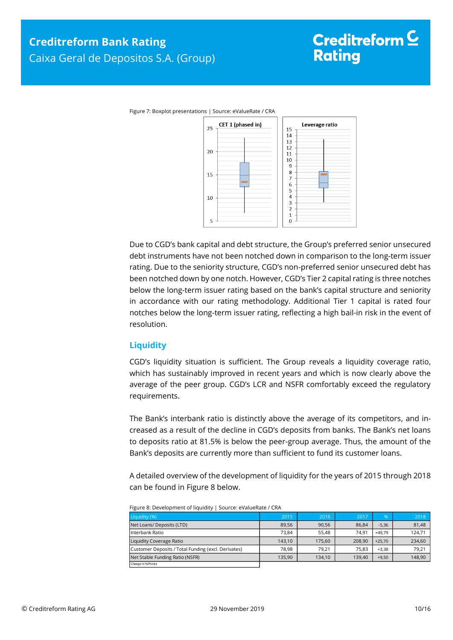

Due to CGD's bank capital and debt structure, the Group's preferred senior unsecured debt instruments have not been notched down in comparison to the long-term issuer rating. Due to the seniority structure, CGD's non-preferred senior unsecured debt has been notched down by one notch. However, CGD's Tier 2 capital rating is three notches below the long-term issuer rating based on the bank's capital structure and seniority in accordance with our rating methodology. Additional Tier 1 capital is rated four notches below the long-term issuer rating, reflecting a high bail-in risk in the event of resolution.

#### <span id="page-9-0"></span>**Liquidity**

CGD's liquidity situation is sufficient. The Group reveals a liquidity coverage ratio, which has sustainably improved in recent years and which is now clearly above the average of the peer group. CGD's LCR and NSFR comfortably exceed the regulatory requirements.

The Bank's interbank ratio is distinctly above the average of its competitors, and increased as a result of the decline in CGD's deposits from banks. The Bank's net loans to deposits ratio at 81.5% is below the peer-group average. Thus, the amount of the Bank's deposits are currently more than sufficient to fund its customer loans.

A detailed overview of the development of liquidity for the years of 2015 through 2018 can be found in Figure 8 below.

<span id="page-9-1"></span>

| Liquidity (%)                                       | 2015   | 2016   | 2017   | %        | 2018   |
|-----------------------------------------------------|--------|--------|--------|----------|--------|
| Net Loans/ Deposits (LTD)                           | 89,56  | 90,56  | 86,84  | $-5,36$  | 81,48  |
| Interbank Ratio                                     | 73.84  | 55.48  | 74.91  | $+49.79$ | 124,71 |
| Liquidity Coverage Ratio                            | 143.10 | 175,60 | 208.90 | $+25.70$ | 234,60 |
| Customer Deposits / Total Funding (excl. Derivates) | 78.98  | 79.21  | 75.83  | $+3.38$  | 79,21  |
| Net Stable Funding Ratio (NSFR)                     | 135.90 | 134,10 | 139.40 | $+9,50$  | 148,90 |
| Change in % Points                                  |        |        |        |          |        |

Figure 8: Development of liquidity | Source: eValueRate / CRA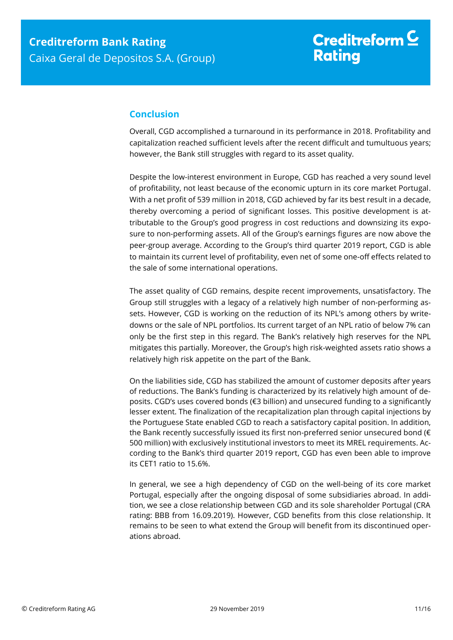#### **Conclusion**

Overall, CGD accomplished a turnaround in its performance in 2018. Profitability and capitalization reached sufficient levels after the recent difficult and tumultuous years; however, the Bank still struggles with regard to its asset quality.

Despite the low-interest environment in Europe, CGD has reached a very sound level of profitability, not least because of the economic upturn in its core market Portugal. With a net profit of 539 million in 2018, CGD achieved by far its best result in a decade, thereby overcoming a period of significant losses. This positive development is attributable to the Group's good progress in cost reductions and downsizing its exposure to non-performing assets. All of the Group's earnings figures are now above the peer-group average. According to the Group's third quarter 2019 report, CGD is able to maintain its current level of profitability, even net of some one-off effects related to the sale of some international operations.

The asset quality of CGD remains, despite recent improvements, [unsatisfactory.](https://www.dict.cc/englisch-deutsch/unsatisfactory.html) The Group still struggles with a legacy of a relatively high number of non-performing assets. However, CGD is working on the reduction of its NPL's among others by writedowns or the sale of NPL portfolios. Its current target of an NPL ratio of below 7% can only be the first step in this regard. The Bank's relatively high reserves for the NPL mitigates this partially. Moreover, the Group's high risk-weighted assets ratio shows a relatively high risk appetite on the part of the Bank.

On the liabilities side, CGD has stabilized the amount of customer deposits after years of reductions. The Bank's funding is characterized by its relatively high amount of deposits. CGD's uses covered bonds (€3 billion) and unsecured funding to a significantly lesser extent. The finalization of the recapitalization plan through capital injections by the Portuguese State enabled CGD to reach a satisfactory capital position. In addition, the Bank recently successfully issued its first non-preferred senior unsecured bond (€ 500 million) with exclusively institutional investors to meet its MREL requirements. According to the Bank's third quarter 2019 report, CGD has even been able to improve its CET1 ratio to 15.6%.

In general, we see a high dependency of CGD on the well-being of its core market Portugal, especially after the ongoing disposal of some subsidiaries abroad. In addition, we see a close relationship between CGD and its sole shareholder Portugal (CRA rating: BBB from 16.09.2019). However, CGD benefits from this close relationship. It remains to be seen to what extend the Group will benefit from its discontinued operations abroad.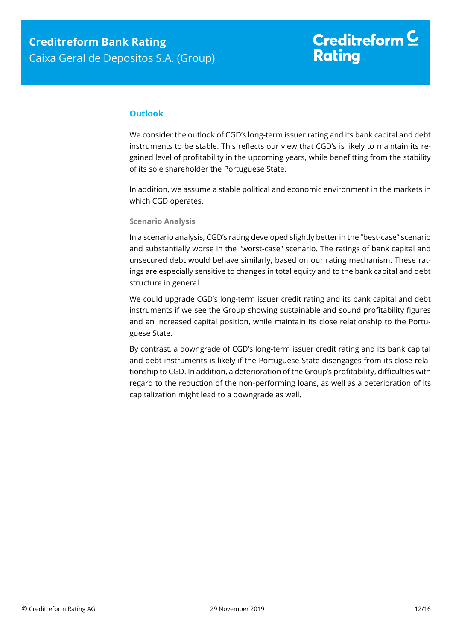#### **Outlook**

We consider the outlook of CGD's long-term issuer rating and its bank capital and debt instruments to be stable. This reflects our view that CGD's is likely to maintain its regained level of profitability in the upcoming years, while benefitting from the stability of its sole shareholder the Portuguese State.

In addition, we assume a stable political and economic environment in the markets in which CGD operates.

#### **Scenario Analysis**

In a scenario analysis, CGD's rating developed slightly better in the "best-case" scenario and substantially worse in the "worst-case" scenario. The ratings of bank capital and unsecured debt would behave similarly, based on our rating mechanism. These ratings are especially sensitive to changes in total equity and to the bank capital and debt structure in general.

We could upgrade CGD's long-term issuer credit rating and its bank capital and debt instruments if we see the Group showing sustainable and sound profitability figures and an increased capital position, while maintain its close relationship to the Portuguese State.

By contrast, a downgrade of CGD's long-term issuer credit rating and its bank capital and debt instruments is likely if the Portuguese State disengages from its close relationship to CGD. In addition, a deterioration of the Group's profitability, difficulties with regard to the reduction of the non-performing loans, as well as a deterioration of its capitalization might lead to a downgrade as well.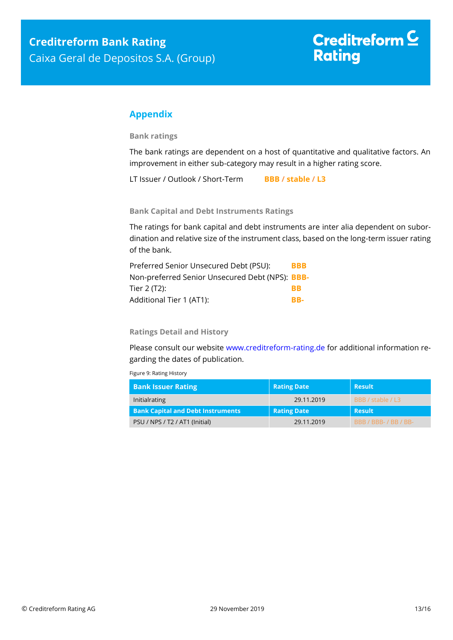#### <span id="page-12-0"></span>**Appendix**

**Bank ratings**

The bank ratings are dependent on a host of quantitative and qualitative factors. An improvement in either sub-category may result in a higher rating score.

LT Issuer / Outlook / Short-Term **BBB / stable / L3**

**Bank Capital and Debt Instruments Ratings**

The ratings for bank capital and debt instruments are inter alia dependent on subordination and relative size of the instrument class, based on the long-term issuer rating of the bank.

| Preferred Senior Unsecured Debt (PSU):          | <b>BBB</b> |
|-------------------------------------------------|------------|
| Non-preferred Senior Unsecured Debt (NPS): BBB- |            |
| Tier 2 (T2):                                    | RR         |
| Additional Tier 1 (AT1):                        | RR-        |

**Ratings Detail and History**

Please consult our website [www.creditreform-rating.de](http://www.creditreform-rating.de/) for additional information regarding the dates of publication.

Figure 9: Rating History

| <b>Bank Issuer Rating</b>                | <b>Rating Date</b> | Result                 |
|------------------------------------------|--------------------|------------------------|
| Initialrating                            | 29.11.2019         | BBB / stable / L3      |
| <b>Bank Capital and Debt Instruments</b> | <b>Rating Date</b> | <b>Result</b>          |
| PSU / NPS / T2 / AT1 (Initial)           | 29.11.2019         | <b>BBB/BBB-/BB/BB-</b> |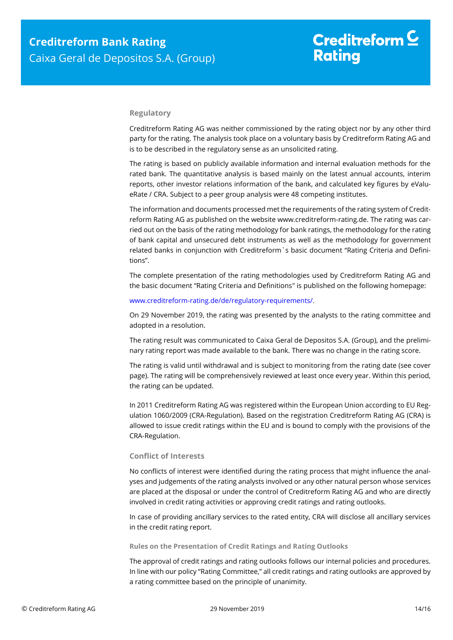#### **Regulatory**

Creditreform Rating AG was neither commissioned by the rating object nor by any other third party for the rating. The analysis took place on a voluntary basis by Creditreform Rating AG and is to be described in the regulatory sense as an unsolicited rating.

The rating is based on publicly available information and internal evaluation methods for the rated bank. The quantitative analysis is based mainly on the latest annual accounts, interim reports, other investor relations information of the bank, and calculated key figures by eValueRate / CRA. Subject to a peer group analysis were 48 competing institutes.

The information and documents processed met the requirements of the rating system of Creditreform Rating AG as published on the website www.creditreform-rating.de. The rating was carried out on the basis of the rating methodology for bank ratings, the methodology for the rating of bank capital and unsecured debt instruments as well as the methodology for government related banks in conjunction with Creditreform`s basic document "Rating Criteria and Definitions".

The complete presentation of the rating methodologies used by Creditreform Rating AG and the basic document "Rating Criteria and Definitions" is published on the following homepage:

#### [www.creditreform-rating.de/de/regulatory-requirements/.](http://www.creditreform-rating.de/de/regulatory-requirements/)

On 29 November 2019, the rating was presented by the analysts to the rating committee and adopted in a resolution.

The rating result was communicated to Caixa Geral de Depositos S.A. (Group), and the preliminary rating report was made available to the bank. There was no change in the rating score.

The rating is valid until withdrawal and is subject to monitoring from the rating date (see cover page). The rating will be comprehensively reviewed at least once every year. Within this period, the rating can be updated.

In 2011 Creditreform Rating AG was registered within the European Union according to EU Regulation 1060/2009 (CRA-Regulation). Based on the registration Creditreform Rating AG (CRA) is allowed to issue credit ratings within the EU and is bound to comply with the provisions of the CRA-Regulation.

#### **Conflict of Interests**

No conflicts of interest were identified during the rating process that might influence the analyses and judgements of the rating analysts involved or any other natural person whose services are placed at the disposal or under the control of Creditreform Rating AG and who are directly involved in credit rating activities or approving credit ratings and rating outlooks.

In case of providing ancillary services to the rated entity, CRA will disclose all ancillary services in the credit rating report.

#### **Rules on the Presentation of Credit Ratings and Rating Outlooks**

The approval of credit ratings and rating outlooks follows our internal policies and procedures. In line with our policy "Rating Committee," all credit ratings and rating outlooks are approved by a rating committee based on the principle of unanimity.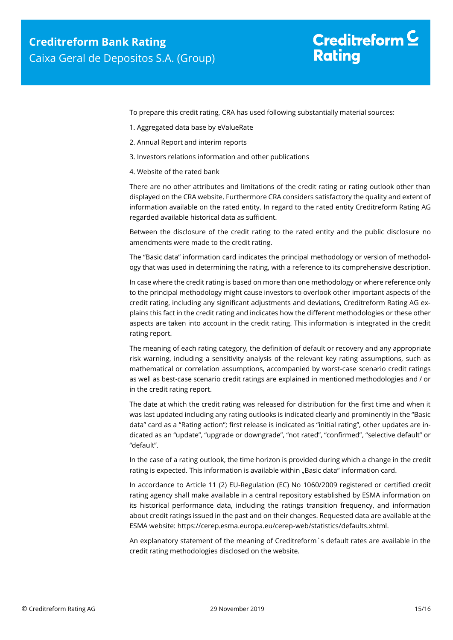## Creditreform  $$ **Rating**

To prepare this credit rating, CRA has used following substantially material sources:

- 1. Aggregated data base by eValueRate
- 2. Annual Report and interim reports
- 3. Investors relations information and other publications
- 4. Website of the rated bank

There are no other attributes and limitations of the credit rating or rating outlook other than displayed on the CRA website. Furthermore CRA considers satisfactory the quality and extent of information available on the rated entity. In regard to the rated entity Creditreform Rating AG regarded available historical data as sufficient.

Between the disclosure of the credit rating to the rated entity and the public disclosure no amendments were made to the credit rating.

The "Basic data" information card indicates the principal methodology or version of methodology that was used in determining the rating, with a reference to its comprehensive description.

In case where the credit rating is based on more than one methodology or where reference only to the principal methodology might cause investors to overlook other important aspects of the credit rating, including any significant adjustments and deviations, Creditreform Rating AG explains this fact in the credit rating and indicates how the different methodologies or these other aspects are taken into account in the credit rating. This information is integrated in the credit rating report.

The meaning of each rating category, the definition of default or recovery and any appropriate risk warning, including a sensitivity analysis of the relevant key rating assumptions, such as mathematical or correlation assumptions, accompanied by worst-case scenario credit ratings as well as best-case scenario credit ratings are explained in mentioned methodologies and / or in the credit rating report.

The date at which the credit rating was released for distribution for the first time and when it was last updated including any rating outlooks is indicated clearly and prominently in the "Basic data" card as a "Rating action"; first release is indicated as "initial rating", other updates are indicated as an "update", "upgrade or downgrade", "not rated", "confirmed", "selective default" or "default".

In the case of a rating outlook, the time horizon is provided during which a change in the credit rating is expected. This information is available within "Basic data" information card.

In accordance to Article 11 (2) EU-Regulation (EC) No 1060/2009 registered or certified credit rating agency shall make available in a central repository established by ESMA information on its historical performance data, including the ratings transition frequency, and information about credit ratings issued in the past and on their changes. Requested data are available at the ESMA website: https://cerep.esma.europa.eu/cerep-web/statistics/defaults.xhtml.

An explanatory statement of the meaning of Creditreform`s default rates are available in the credit rating methodologies disclosed on the website.